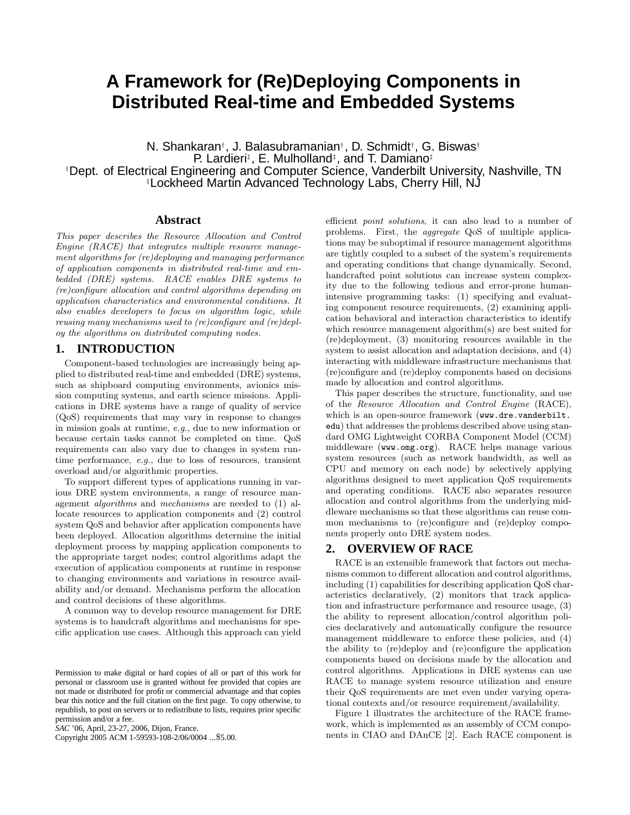# **A Framework for (Re)Deploying Components in Distributed Real-time and Embedded Systems**

N. Shankaran† , J. Balasubramanian† , D. Schmidt† , G. Biswas† P. Lardieri<sup>‡</sup>, E. Mulholland<sup>‡</sup>, and T. Damiano<sup>‡</sup> †Dept. of Electrical Engineering and Computer Science, Vanderbilt University, Nashville, TN ‡Lockheed Martin Advanced Technology Labs, Cherry Hill, NJ

#### **Abstract**

This paper describes the Resource Allocation and Control Engine (RACE) that integrates multiple resource management algorithms for (re)deploying and managing performance of application components in distributed real-time and embedded (DRE) systems. RACE enables DRE systems to (re)configure allocation and control algorithms depending on application characteristics and environmental conditions. It also enables developers to focus on algorithm logic, while reusing many mechanisms used to (re)configure and (re)deploy the algorithms on distributed computing nodes.

## **1. INTRODUCTION**

Component-based technologies are increasingly being applied to distributed real-time and embedded (DRE) systems, such as shipboard computing environments, avionics mission computing systems, and earth science missions. Applications in DRE systems have a range of quality of service (QoS) requirements that may vary in response to changes in mission goals at runtime, e.g., due to new information or because certain tasks cannot be completed on time. QoS requirements can also vary due to changes in system runtime performance, e.g., due to loss of resources, transient overload and/or algorithmic properties.

To support different types of applications running in various DRE system environments, a range of resource management algorithms and mechanisms are needed to (1) allocate resources to application components and (2) control system QoS and behavior after application components have been deployed. Allocation algorithms determine the initial deployment process by mapping application components to the appropriate target nodes; control algorithms adapt the execution of application components at runtime in response to changing environments and variations in resource availability and/or demand. Mechanisms perform the allocation and control decisions of these algorithms.

A common way to develop resource management for DRE systems is to handcraft algorithms and mechanisms for specific application use cases. Although this approach can yield

Copyright 2005 ACM 1-59593-108-2/06/0004 ...\$5.00.

efficient point solutions, it can also lead to a number of problems. First, the aggregate QoS of multiple applications may be suboptimal if resource management algorithms are tightly coupled to a subset of the system's requirements and operating conditions that change dynamically. Second, handcrafted point solutions can increase system complexity due to the following tedious and error-prone humanintensive programming tasks: (1) specifying and evaluating component resource requirements, (2) examining application behavioral and interaction characteristics to identify which resource management algorithm(s) are best suited for (re)deployment, (3) monitoring resources available in the system to assist allocation and adaptation decisions, and (4) interacting with middleware infrastructure mechanisms that (re)configure and (re)deploy components based on decisions made by allocation and control algorithms.

This paper describes the structure, functionality, and use of the Resource Allocation and Control Engine (RACE), which is an open-source framework (www.dre.vanderbilt. edu) that addresses the problems described above using standard OMG Lightweight CORBA Component Model (CCM) middleware (www.omg.org). RACE helps manage various system resources (such as network bandwidth, as well as CPU and memory on each node) by selectively applying algorithms designed to meet application QoS requirements and operating conditions. RACE also separates resource allocation and control algorithms from the underlying middleware mechanisms so that these algorithms can reuse common mechanisms to (re)configure and (re)deploy components properly onto DRE system nodes.

## **2. OVERVIEW OF RACE**

RACE is an extensible framework that factors out mechanisms common to different allocation and control algorithms, including (1) capabilities for describing application QoS characteristics declaratively, (2) monitors that track application and infrastructure performance and resource usage, (3) the ability to represent allocation/control algorithm policies declaratively and automatically configure the resource management middleware to enforce these policies, and (4) the ability to (re)deploy and (re)configure the application components based on decisions made by the allocation and control algorithms. Applications in DRE systems can use RACE to manage system resource utilization and ensure their QoS requirements are met even under varying operational contexts and/or resource requirement/availability.

Figure 1 illustrates the architecture of the RACE framework, which is implemented as an assembly of CCM components in CIAO and DAnCE [2]. Each RACE component is

Permission to make digital or hard copies of all or part of this work for personal or classroom use is granted without fee provided that copies are not made or distributed for profit or commercial advantage and that copies bear this notice and the full citation on the first page. To copy otherwise, to republish, to post on servers or to redistribute to lists, requires prior specific permission and/or a fee.

*SAC* '06, April, 23-27, 2006, Dijon, France.